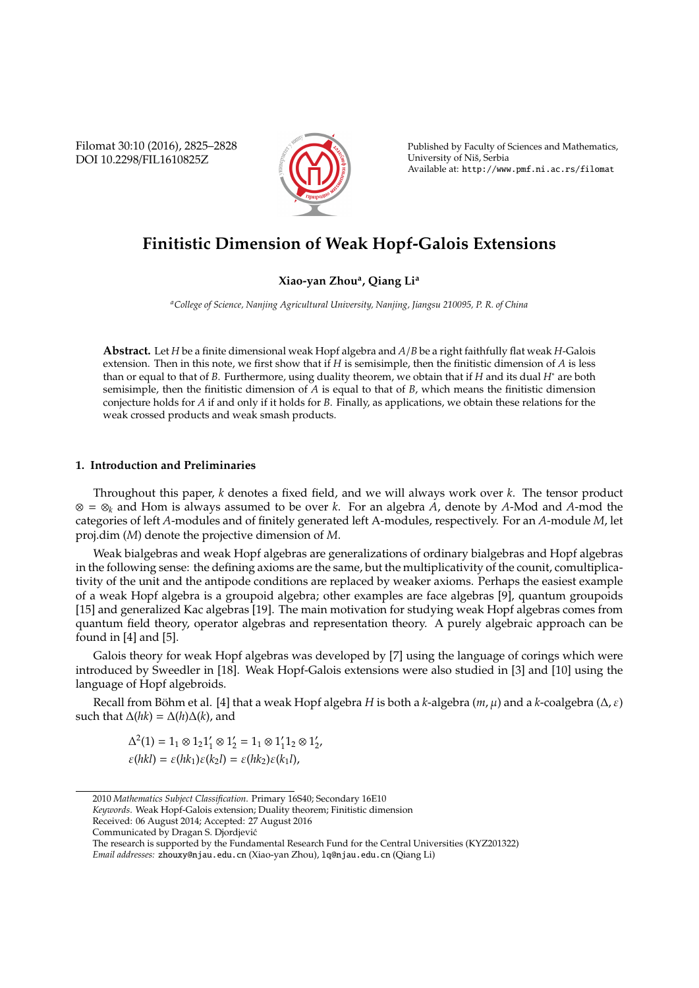Filomat 30:10 (2016), 2825–2828 DOI 10.2298/FIL1610825Z



Published by Faculty of Sciences and Mathematics, University of Nis, Serbia ˇ Available at: http://www.pmf.ni.ac.rs/filomat

# **Finitistic Dimension of Weak Hopf-Galois Extensions**

## **Xiao-yan Zhou<sup>a</sup> , Qiang Li<sup>a</sup>**

*<sup>a</sup>College of Science, Nanjing Agricultural University, Nanjing, Jiangsu 210095, P. R. of China*

**Abstract.** Let *H* be a finite dimensional weak Hopf algebra and *A*/*B* be a right faithfully flat weak *H*-Galois extension. Then in this note, we first show that if *H* is semisimple, then the finitistic dimension of *A* is less than or equal to that of *B*. Furthermore, using duality theorem, we obtain that if *H* and its dual *H*<sup>∗</sup> are both semisimple, then the finitistic dimension of *A* is equal to that of *B*, which means the finitistic dimension conjecture holds for *A* if and only if it holds for *B*. Finally, as applications, we obtain these relations for the weak crossed products and weak smash products.

#### **1. Introduction and Preliminaries**

Throughout this paper, *k* denotes a fixed field, and we will always work over *k*. The tensor product ⊗ = ⊗*<sup>k</sup>* and Hom is always assumed to be over *k*. For an algebra *A*, denote by *A*-Mod and *A*-mod the categories of left *A*-modules and of finitely generated left A-modules, respectively. For an *A*-module *M*, let proj.dim (*M*) denote the projective dimension of *M*.

Weak bialgebras and weak Hopf algebras are generalizations of ordinary bialgebras and Hopf algebras in the following sense: the defining axioms are the same, but the multiplicativity of the counit, comultiplicativity of the unit and the antipode conditions are replaced by weaker axioms. Perhaps the easiest example of a weak Hopf algebra is a groupoid algebra; other examples are face algebras [9], quantum groupoids [15] and generalized Kac algebras [19]. The main motivation for studying weak Hopf algebras comes from quantum field theory, operator algebras and representation theory. A purely algebraic approach can be found in [4] and [5].

Galois theory for weak Hopf algebras was developed by [7] using the language of corings which were introduced by Sweedler in [18]. Weak Hopf-Galois extensions were also studied in [3] and [10] using the language of Hopf algebroids.

Recall from Böhm et al. [4] that a weak Hopf algebra *H* is both a *k*-algebra (*m*, μ) and a *k*-coalgebra (Δ, ε) such that  $\Delta(hk) = \Delta(h)\Delta(k)$ , and

$$
\begin{aligned} \Delta^2(1) &= 1_1 \otimes 1_2 1_1' \otimes 1_2' = 1_1 \otimes 1_1' 1_2 \otimes 1_2', \\ \varepsilon(hkl) &= \varepsilon(hk_1) \varepsilon(k_2 l) = \varepsilon(hk_2) \varepsilon(k_1 l), \end{aligned}
$$

*Keywords*. Weak Hopf-Galois extension; Duality theorem; Finitistic dimension

<sup>2010</sup> *Mathematics Subject Classification*. Primary 16S40; Secondary 16E10

Received: 06 August 2014; Accepted: 27 August 2016

Communicated by Dragan S. Djordjevic´

The research is supported by the Fundamental Research Fund for the Central Universities (KYZ201322)

*Email addresses:* zhouxy@njau.edu.cn (Xiao-yan Zhou), lq@njau.edu.cn (Qiang Li)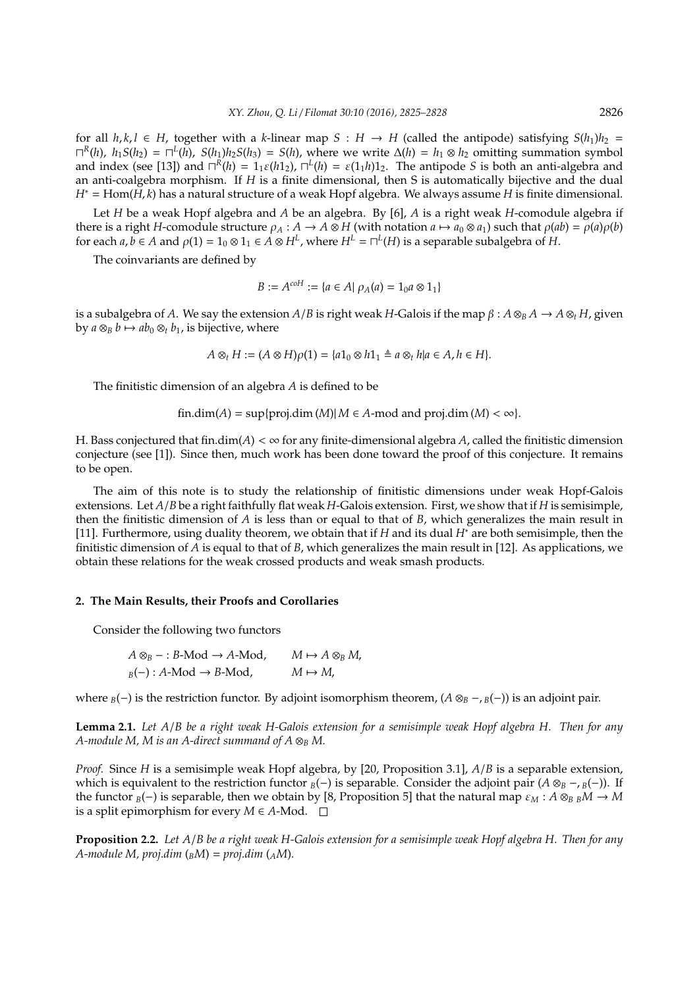for all  $h, k, l \in H$ , together with a *k*-linear map  $S : H \to H$  (called the antipode) satisfying  $S(h_1)h_2 =$  $\prod^R(h)$ ,  $h_1S(h_2) = \prod^L(h)$ ,  $S(h_1)h_2S(h_3) = S(h)$ , where we write  $\Delta(h) = h_1 \otimes h_2$  omitting summation symbol and index (see [13]) and  $\Gamma^R(h) = 1_1 \varepsilon(h1_2)$ ,  $\Gamma^L(h) = \varepsilon(1_1 h)1_2$ . The antipode *S* is both an anti-algebra and an anti-coalgebra morphism. If *H* is a finite dimensional, then S is automatically bijective and the dual *H*<sup>∗</sup> = Hom(*H*, *k*) has a natural structure of a weak Hopf algebra. We always assume *H* is finite dimensional.

Let *H* be a weak Hopf algebra and *A* be an algebra. By [6], *A* is a right weak *H*-comodule algebra if there is a right *H*-comodule structure  $\rho_A : A \to A \otimes H$  (with notation  $a \mapsto a_0 \otimes a_1$ ) such that  $\rho(ab) = \rho(a)\rho(b)$ for each  $a, b \in A$  and  $\rho(1) = 1_0 \otimes 1_1 \in A \otimes H^L$ , where  $H^L = \bigcap^L(H)$  is a separable subalgebra of  $H$ .

The coinvariants are defined by

$$
B := A^{coH} := \{ a \in A | \rho_A(a) = 1_0 a \otimes 1_1 \}
$$

is a subalgebra of *A*. We say the extension *A*/*B* is right weak *H*-Galois if the map  $\beta$  :  $A \otimes_B A \to A \otimes_t H$ , given by  $a \otimes_B b \mapsto ab_0 \otimes_t b_1$ , is bijective, where

$$
A\otimes_t H:=(A\otimes H)\rho(1)=\{a1_0\otimes h1_1\triangleq a\otimes_t h|a\in A, h\in H\}.
$$

The finitistic dimension of an algebra *A* is defined to be

$$
fin.dim(A) = \sup\{proj.dim(M)| M \in A\text{-mod and }proj.dim(M) < \infty\}.
$$

H. Bass conjectured that fin.dim( $A$ ) <  $\infty$  for any finite-dimensional algebra  $A$ , called the finitistic dimension conjecture (see [1]). Since then, much work has been done toward the proof of this conjecture. It remains to be open.

The aim of this note is to study the relationship of finitistic dimensions under weak Hopf-Galois extensions. Let *A*/*B* be a right faithfully flat weak *H*-Galois extension. First, we show that if *H* is semisimple, then the finitistic dimension of *A* is less than or equal to that of *B*, which generalizes the main result in [11]. Furthermore, using duality theorem, we obtain that if *H* and its dual *H*<sup>∗</sup> are both semisimple, then the finitistic dimension of *A* is equal to that of *B*, which generalizes the main result in [12]. As applications, we obtain these relations for the weak crossed products and weak smash products.

### **2. The Main Results, their Proofs and Corollaries**

Consider the following two functors

$$
A \otimes_B - : B\text{-Mod} \to A\text{-Mod}, \qquad M \mapsto A \otimes_B M,
$$
  
 $B(-): A\text{-Mod} \to B\text{-Mod}, \qquad M \mapsto M,$ 

where *<sup>B</sup>*(−) is the restriction functor. By adjoint isomorphism theorem, (*A* ⊗*<sup>B</sup>* −, *<sup>B</sup>*(−)) is an adjoint pair.

**Lemma 2.1.** *Let A*/*B be a right weak H-Galois extension for a semisimple weak Hopf algebra H. Then for any A-module M, M is an A-direct summand of A*  $\otimes_B M$ .

*Proof.* Since *H* is a semisimple weak Hopf algebra, by [20, Proposition 3.1], *A*/*B* is a separable extension, which is equivalent to the restriction functor  $B(-)$  is separable. Consider the adjoint pair  $(A \otimes_B - B(-))$ . If the functor  $_B(-)$  is separable, then we obtain by [8, Proposition 5] that the natural map  $\varepsilon_M$  :  $A \otimes_B B M \to M$ is a split epimorphism for every *M* ∈ *A*-Mod.  $□$ 

**Proposition 2.2.** *Let A*/*B be a right weak H-Galois extension for a semisimple weak Hopf algebra H. Then for any A-module M, proj.dim*  $({}_B M) = proj.dim ({}_A M)$ .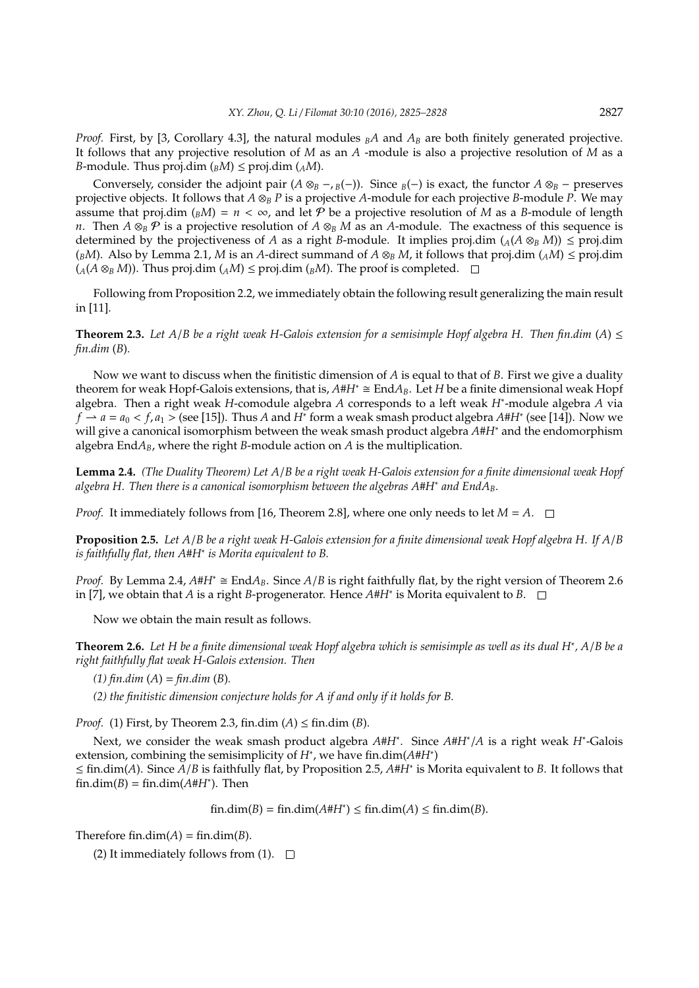*Proof.* First, by [3, Corollary 4.3], the natural modules  $<sub>B</sub>A$  and  $A<sub>B</sub>$  are both finitely generated projective.</sub> It follows that any projective resolution of *M* as an *A* -module is also a projective resolution of *M* as a *B*-module. Thus proj.dim  $({}_B M) \le$  proj.dim  $({}_A M)$ .

Conversely, consider the adjoint pair  $(A \otimes_B - B)(-)$ . Since  $B(-)$  is exact, the functor  $A \otimes_B -$  preserves projective objects. It follows that *A* ⊗*<sup>B</sup> P* is a projective *A*-module for each projective *B*-module *P*. We may assume that proj.dim ( $_B$ *M*) =  $n < \infty$ , and let *P* be a projective resolution of *M* as a *B*-module of length *n*. Then  $A \otimes_B P$  is a projective resolution of  $A \otimes_B M$  as an *A*-module. The exactness of this sequence is determined by the projectiveness of *A* as a right *B*-module. It implies proj.dim  $(A(\mathcal{A} \otimes_{\mathcal{B}} M)) \leq \text{proj.dim}$  $(\beta M)$ . Also by Lemma 2.1, *M* is an *A*-direct summand of  $A \otimes_B M$ , it follows that proj.dim  $(AM) \leq \text{proj.dim}$  $(A(A \otimes_B M))$ . Thus proj.dim  $(AM) \leq \text{proj.dim}(BM)$ . The proof is completed.  $\square$ 

Following from Proposition 2.2, we immediately obtain the following result generalizing the main result in [11].

**Theorem 2.3.** *Let A/B be a right weak H-Galois extension for a semisimple Hopf algebra H. Then fin.dim* (*A*)  $\leq$ *fin.dim* (*B*)*.*

Now we want to discuss when the finitistic dimension of *A* is equal to that of *B*. First we give a duality theorem for weak Hopf-Galois extensions, that is,  $A \# H^* \cong \text{End} A_B$ . Let *H* be a finite dimensional weak Hopf algebra. Then a right weak *H*-comodule algebra *A* corresponds to a left weak *H*<sup>∗</sup> -module algebra *A* via *f*  $\rightarrow$  *a* = *a*<sub>0</sub> < *f*, *a*<sub>1</sub> > (see [15]). Thus *A* and *H*<sup>∗</sup> form a weak smash product algebra *A*#*H*<sup>∗</sup> (see [14]). Now we will give a canonical isomorphism between the weak smash product algebra *A*#*H*<sup>∗</sup> and the endomorphism algebra End $A_B$ , where the right *B*-module action on  $A$  is the multiplication.

**Lemma 2.4.** *(The Duality Theorem) Let A*/*B be a right weak H-Galois extension for a finite dimensional weak Hopf algebra H. Then there is a canonical isomorphism between the algebras A*#*H*<sup>∗</sup> *and EndAB.*

*Proof.* It immediately follows from [16, Theorem 2.8], where one only needs to let  $M = A$ .  $\square$ 

**Proposition 2.5.** *Let A*/*B be a right weak H-Galois extension for a finite dimensional weak Hopf algebra H. If A*/*B is faithfully flat, then A*#*H*<sup>∗</sup> *is Morita equivalent to B.*

*Proof.* By Lemma 2.4,  $A#H^*$  ≅ End $A_B$ . Since  $A/B$  is right faithfully flat, by the right version of Theorem 2.6 in [7], we obtain that *A* is a right *B*-progenerator. Hence *A*#*H*<sup>∗</sup> is Morita equivalent to *B*.

Now we obtain the main result as follows.

**Theorem 2.6.** *Let H be a finite dimensional weak Hopf algebra which is semisimple as well as its dual H*<sup>∗</sup> *, A*/*B be a right faithfully flat weak H-Galois extension. Then*

*(1) fin.dim* (*A*) = *fin.dim* (*B*)*.*

*(2) the finitistic dimension conjecture holds for A if and only if it holds for B.*

*Proof.* (1) First, by Theorem 2.3, fin.dim (*A*) ≤ fin.dim (*B*).

Next, we consider the weak smash product algebra *A*#*H*<sup>∗</sup> . Since *A*#*H*<sup>∗</sup> /*A* is a right weak *H*<sup>∗</sup> -Galois extension, combining the semisimplicity of *H*<sup>∗</sup> , we have fin.dim(*A*#*H*<sup>∗</sup> )

≤ fin.dim(*A*). Since *A*/*B* is faithfully flat, by Proposition 2.5, *A*#*H*<sup>∗</sup> is Morita equivalent to *B*. It follows that  $fin.dim(B) = fin.dim(A \# H^*)$ . Then

 $fin.dim(B) = fin.dim(A#H^*) \leq fin.dim(A) \leq fin.dim(B).$ 

Therefore fin.dim( $A$ ) = fin.dim( $B$ ).

(2) It immediately follows from (1).  $\square$